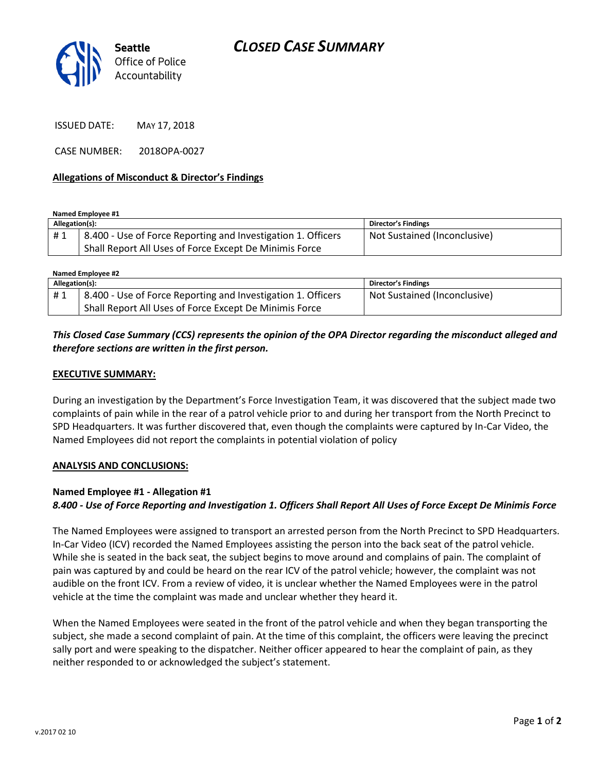

ISSUED DATE: MAY 17, 2018

CASE NUMBER: 2018OPA-0027

### **Allegations of Misconduct & Director's Findings**

**Named Employee #1**

| Allegation(s): |                                                              | Director's Findings          |
|----------------|--------------------------------------------------------------|------------------------------|
| #1             | 8.400 - Use of Force Reporting and Investigation 1. Officers | Not Sustained (Inconclusive) |
|                | Shall Report All Uses of Force Except De Minimis Force       |                              |

| Named Employee #2 |                                                              |                              |  |
|-------------------|--------------------------------------------------------------|------------------------------|--|
| Allegation(s):    |                                                              | <b>Director's Findings</b>   |  |
| #1                | 8.400 - Use of Force Reporting and Investigation 1. Officers | Not Sustained (Inconclusive) |  |
|                   | Shall Report All Uses of Force Except De Minimis Force       |                              |  |

## *This Closed Case Summary (CCS) represents the opinion of the OPA Director regarding the misconduct alleged and therefore sections are written in the first person.*

#### **EXECUTIVE SUMMARY:**

During an investigation by the Department's Force Investigation Team, it was discovered that the subject made two complaints of pain while in the rear of a patrol vehicle prior to and during her transport from the North Precinct to SPD Headquarters. It was further discovered that, even though the complaints were captured by In-Car Video, the Named Employees did not report the complaints in potential violation of policy

#### **ANALYSIS AND CONCLUSIONS:**

#### **Named Employee #1 - Allegation #1**

## *8.400 - Use of Force Reporting and Investigation 1. Officers Shall Report All Uses of Force Except De Minimis Force*

The Named Employees were assigned to transport an arrested person from the North Precinct to SPD Headquarters. In-Car Video (ICV) recorded the Named Employees assisting the person into the back seat of the patrol vehicle. While she is seated in the back seat, the subject begins to move around and complains of pain. The complaint of pain was captured by and could be heard on the rear ICV of the patrol vehicle; however, the complaint was not audible on the front ICV. From a review of video, it is unclear whether the Named Employees were in the patrol vehicle at the time the complaint was made and unclear whether they heard it.

When the Named Employees were seated in the front of the patrol vehicle and when they began transporting the subject, she made a second complaint of pain. At the time of this complaint, the officers were leaving the precinct sally port and were speaking to the dispatcher. Neither officer appeared to hear the complaint of pain, as they neither responded to or acknowledged the subject's statement.